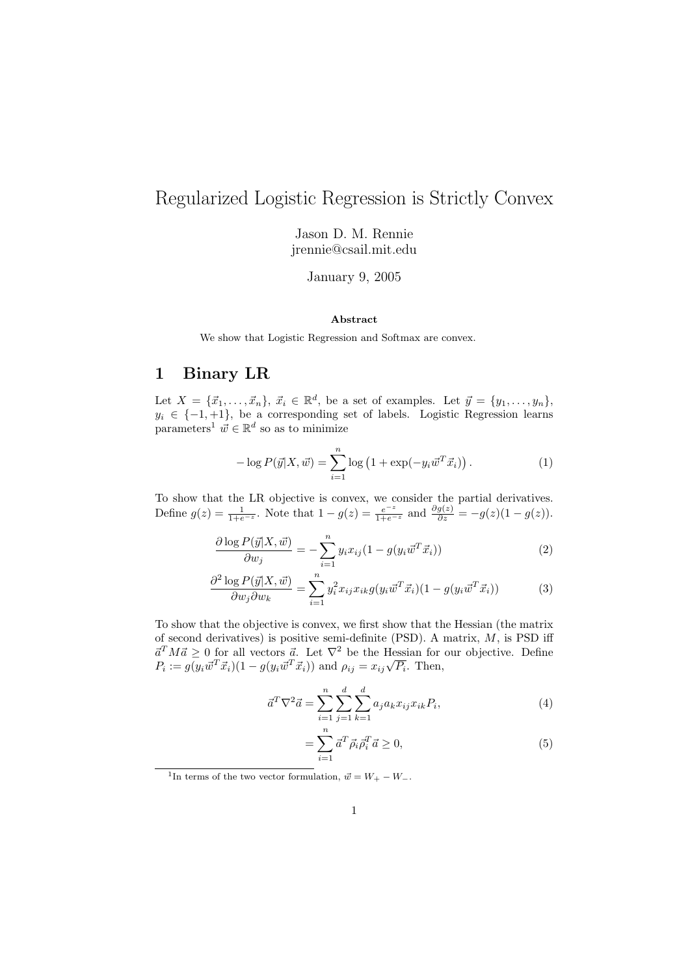# Regularized Logistic Regression is Strictly Convex

Jason D. M. Rennie jrennie@csail.mit.edu

January 9, 2005

#### Abstract

We show that Logistic Regression and Softmax are convex.

#### 1 Binary LR

Let  $X = {\lbrace \vec{x}_1, \ldots, \vec{x}_n \rbrace}, \ \vec{x}_i \in \mathbb{R}^d$ , be a set of examples. Let  $\vec{y} = {\lbrace y_1, \ldots, y_n \rbrace},$  $y_i \in \{-1, +1\}$ , be a corresponding set of labels. Logistic Regression learns parameters<sup>1</sup>  $\vec{w} \in \mathbb{R}^d$  so as to minimize

$$
-\log P(\vec{y}|X,\vec{w}) = \sum_{i=1}^{n} \log \left(1 + \exp(-y_i \vec{w}^T \vec{x}_i)\right). \tag{1}
$$

To show that the LR objective is convex, we consider the partial derivatives. Define  $g(z) = \frac{1}{1+e^{-z}}$ . Note that  $1 - g(z) = \frac{e^{-z}}{1+e^{-z}}$  and  $\frac{\partial g(z)}{\partial z} = -g(z)(1 - g(z)).$ 

$$
\frac{\partial \log P(\vec{y}|X,\vec{w})}{\partial w_j} = -\sum_{i=1}^n y_i x_{ij} (1 - g(y_i \vec{w}^T \vec{x}_i))
$$
\n(2)

$$
\frac{\partial^2 \log P(\vec{y}|X,\vec{w})}{\partial w_j \partial w_k} = \sum_{i=1}^n y_i^2 x_{ij} x_{ik} g(y_i \vec{w}^T \vec{x}_i)(1 - g(y_i \vec{w}^T \vec{x}_i)) \tag{3}
$$

To show that the objective is convex, we first show that the Hessian (the matrix of second derivatives) is positive semi-definite (PSD). A matrix,  $M$ , is PSD iff  $\vec{a}^T M \vec{a} \geq 0$  for all vectors  $\vec{a}$ . Let  $\nabla^2$  be the Hessian for our objective. Define  $P_i := g(y_i \vec{w}^T \vec{x}_i)(1 - g(y_i \vec{w}^T \vec{x}_i))$  and  $\rho_{ij} = x_{ij} \sqrt{P_i}$ . Then,

$$
\vec{a}^T \nabla^2 \vec{a} = \sum_{i=1}^n \sum_{j=1}^d \sum_{k=1}^d a_j a_k x_{ij} x_{ik} P_i,
$$
\n(4)

$$
=\sum_{i=1}^{n} \vec{a}^T \vec{\rho}_i \vec{\rho}_i^T \vec{a} \ge 0,\tag{5}
$$

<sup>1</sup>In terms of the two vector formulation,  $\vec{w} = W_+ - W_-.$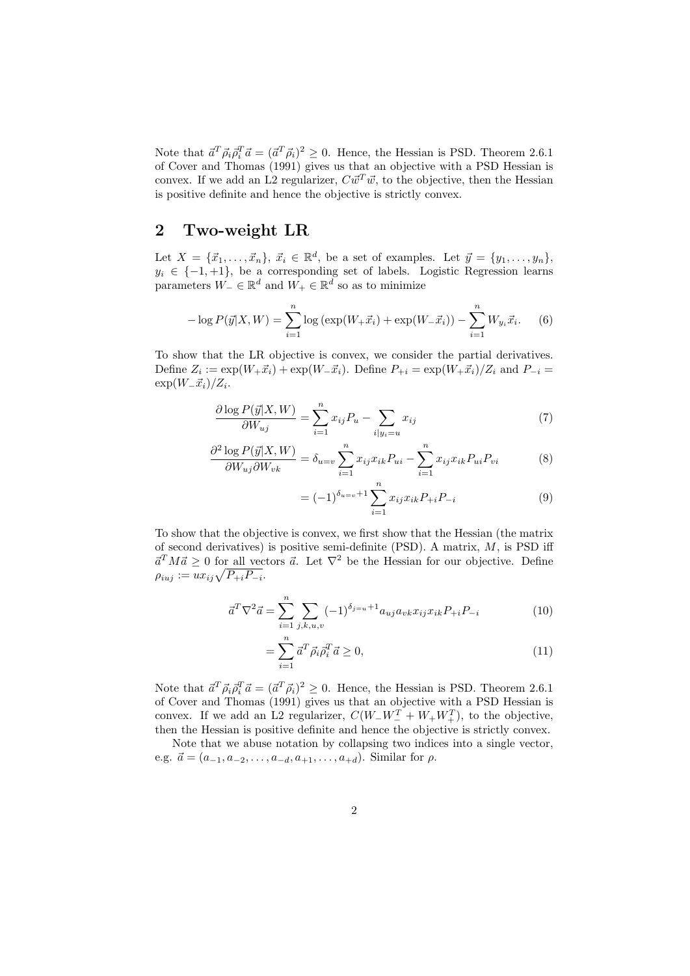Note that  $\vec{a}^T \vec{\rho}_i \vec{\rho}_i^T \vec{a} = (\vec{a}^T \vec{\rho}_i)^2 \geq 0$ . Hence, the Hessian is PSD. Theorem 2.6.1 of Cover and Thomas (1991) gives us that an objective with a PSD Hessian is convex. If we add an L2 regularizer,  $C \vec{w}^T \vec{w}$ , to the objective, then the Hessian is positive definite and hence the objective is strictly convex.

## 2 Two-weight LR

Let  $X = {\lbrace \vec{x}_1, \ldots, \vec{x}_n \rbrace}, \ \vec{x}_i \in \mathbb{R}^d$ , be a set of examples. Let  $\vec{y} = {\lbrace y_1, \ldots, y_n \rbrace},$  $y_i \in \{-1, +1\}$ , be a corresponding set of labels. Logistic Regression learns parameters  $W_-\in\mathbb{R}^d$  and  $W_+\in\mathbb{R}^d$  so as to minimize

$$
-\log P(\vec{y}|X, W) = \sum_{i=1}^{n} \log \left( \exp(W_{+} \vec{x}_{i}) + \exp(W_{-} \vec{x}_{i}) \right) - \sum_{i=1}^{n} W_{y_{i}} \vec{x}_{i}.
$$
 (6)

To show that the LR objective is convex, we consider the partial derivatives. Define  $Z_i := \exp(W_+ \vec{x}_i) + \exp(W_- \vec{x}_i)$ . Define  $P_{+i} = \exp(W_+ \vec{x}_i)/Z_i$  and  $P_{-i} =$  $\exp(W_-\vec{x}_i)/Z_i$ .

$$
\frac{\partial \log P(\vec{y}|X, W)}{\partial W_{uj}} = \sum_{i=1}^{n} x_{ij} P_u - \sum_{i|y_i=u} x_{ij}
$$
(7)

$$
\frac{\partial^2 \log P(\vec{y}|X, W)}{\partial W_{uj}\partial W_{vk}} = \delta_{u=v} \sum_{i=1}^n x_{ij} x_{ik} P_{ui} - \sum_{i=1}^n x_{ij} x_{ik} P_{ui} P_{vi}
$$
(8)

$$
= (-1)^{\delta_{u=v}+1} \sum_{i=1}^{n} x_{ij} x_{ik} P_{+i} P_{-i}
$$
 (9)

To show that the objective is convex, we first show that the Hessian (the matrix of second derivatives) is positive semi-definite (PSD). A matrix,  $M$ , is PSD iff  $\vec{a}^T M \vec{a} \geq 0$  for all vectors  $\vec{a}$ . Let  $\nabla^2$  be the Hessian for our objective. Define  $\rho_{iuj} := ux_{ij}\sqrt{P_{+i}P_{-i}}.$ 

$$
\vec{a}^T \nabla^2 \vec{a} = \sum_{i=1}^n \sum_{j,k,u,v} (-1)^{\delta_{j=u}+1} a_{uj} a_{vk} x_{ij} x_{ik} P_{+i} P_{-i}
$$
(10)

$$
=\sum_{i=1}^{n} \vec{a}^T \vec{\rho}_i \vec{\rho}_i^T \vec{a} \ge 0,\tag{11}
$$

Note that  $\vec{a}^T \vec{\rho}_i \vec{\rho}_i^T \vec{a} = (\vec{a}^T \vec{\rho}_i)^2 \geq 0$ . Hence, the Hessian is PSD. Theorem 2.6.1 of Cover and Thomas (1991) gives us that an objective with a PSD Hessian is convex. If we add an L2 regularizer,  $C(W_{-}W_{-}^T + W_{+}W_{+}^T)$ , to the objective, then the Hessian is positive definite and hence the objective is strictly convex.

Note that we abuse notation by collapsing two indices into a single vector, e.g.  $\vec{a} = (a_{-1}, a_{-2}, \ldots, a_{-d}, a_{+1}, \ldots, a_{+d})$ . Similar for  $\rho$ .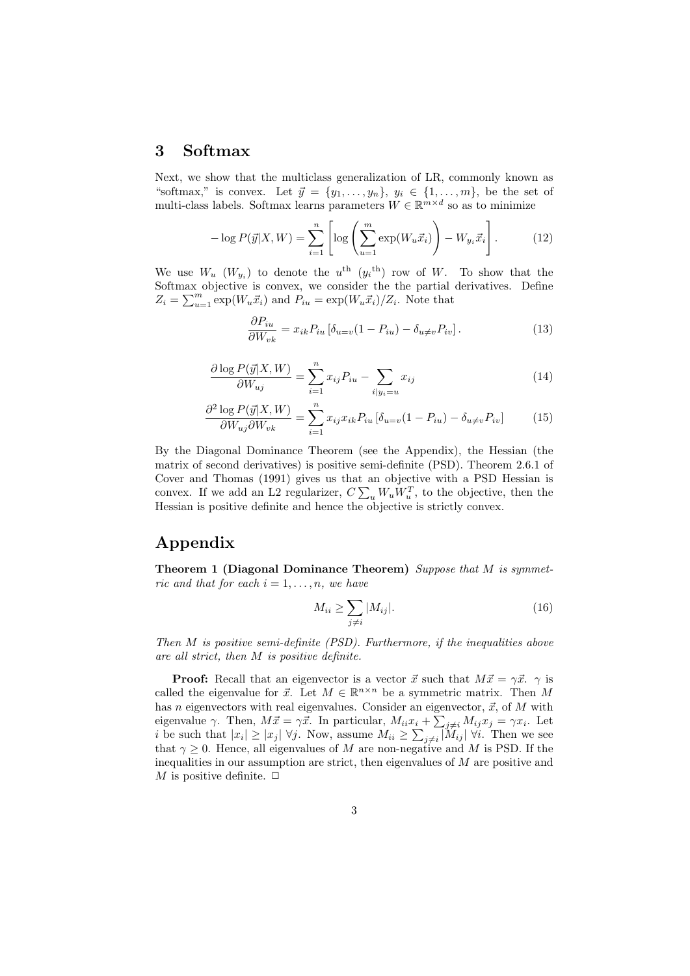### 3 Softmax

Next, we show that the multiclass generalization of LR, commonly known as "softmax," is convex. Let  $\vec{y} = \{y_1, \ldots, y_n\}, y_i \in \{1, \ldots, m\}$ , be the set of multi-class labels. Softmax learns parameters  $W \in \mathbb{R}^{m \times d}$  so as to minimize

$$
-\log P(\vec{y}|X,W) = \sum_{i=1}^{n} \left[ \log \left( \sum_{u=1}^{m} \exp(W_u \vec{x}_i) \right) - W_{y_i} \vec{x}_i \right]. \tag{12}
$$

We use  $W_u$   $(W_{y_i})$  to denote the  $u^{\text{th}}$   $(y_i^{\text{th}})$  row of W. To show that the Softmax objective is convex, we consider the the partial derivatives. Define  $Z_i = \sum_{u=1}^m \exp(W_u \vec{x}_i)$  and  $P_{iu} = \exp(W_u \vec{x}_i)/Z_i$ . Note that

$$
\frac{\partial P_{iu}}{\partial W_{vk}} = x_{ik} P_{iu} \left[ \delta_{u=v} (1 - P_{iu}) - \delta_{u \neq v} P_{iv} \right]. \tag{13}
$$

$$
\frac{\partial \log P(\vec{y}|X, W)}{\partial W_{uj}} = \sum_{i=1}^{n} x_{ij} P_{iu} - \sum_{i|y_i=u} x_{ij}
$$
(14)

$$
\frac{\partial^2 \log P(\vec{y}|X, W)}{\partial W_{uj}\partial W_{vk}} = \sum_{i=1}^n x_{ij} x_{ik} P_{iu} \left[ \delta_{u=v} (1 - P_{iu}) - \delta_{u \neq v} P_{iv} \right]
$$
(15)

By the Diagonal Dominance Theorem (see the Appendix), the Hessian (the matrix of second derivatives) is positive semi-definite (PSD). Theorem 2.6.1 of Cover and Thomas (1991) gives us that an objective with a PSD Hessian is convex. If we add an L2 regularizer,  $C \sum_{u} W_u W_u^T$ , to the objective, then the Hessian is positive definite and hence the objective is strictly convex.

## Appendix

Theorem 1 (Diagonal Dominance Theorem) Suppose that M is symmetric and that for each  $i = 1, \ldots, n$ , we have

$$
M_{ii} \ge \sum_{j \ne i} |M_{ij}|.\tag{16}
$$

Then M is positive semi-definite (PSD). Furthermore, if the inequalities above are all strict, then M is positive definite.

**Proof:** Recall that an eigenvector is a vector  $\vec{x}$  such that  $M\vec{x} = \gamma \vec{x}$ .  $\gamma$  is called the eigenvalue for  $\vec{x}$ . Let  $M \in \mathbb{R}^{n \times n}$  be a symmetric matrix. Then M has n eigenvectors with real eigenvalues. Consider an eigenvector,  $\vec{x}$ , of M with eigenvalue  $\gamma$ . Then,  $M\vec{x} = \gamma \vec{x}$ . In particular,  $M_{ii}x_i + \sum_{j\neq i} M_{ij}x_j = \gamma x_i$ . Let *i* be such that  $|x_i| \ge |x_j| \; \forall j$ . Now, assume  $M_{ii} \ge \sum_{j \ne i} |\widetilde{M}_{ij}| \; \forall i$ . Then we see that  $\gamma \geq 0$ . Hence, all eigenvalues of M are non-negative and M is PSD. If the inequalities in our assumption are strict, then eigenvalues of M are positive and M is positive definite.  $\Box$